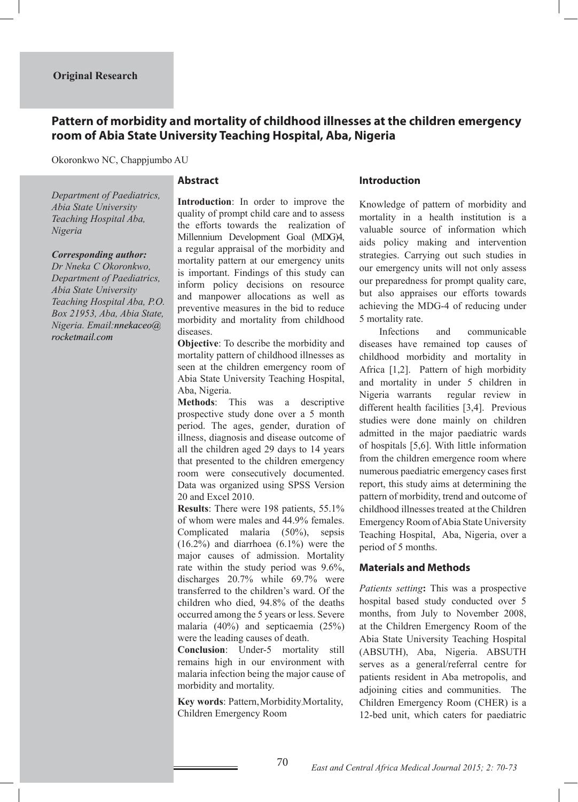# **Pattern of morbidity and mortality of childhood illnesses at the children emergency room of Abia State University Teaching Hospital, Aba, Nigeria**

Okoronkwo NC, Chappjumbo AU

### **Abstract**

*Department of Paediatrics, Abia State University Teaching Hospital Aba, Nigeria*

#### *Corresponding author:*

*Dr Nneka C Okoronkwo, Department of Paediatrics, Abia State University Teaching Hospital Aba, P.O. Box 21953, Aba, Abia State, Nigeria. Email:nnekaceo@ rocketmail.com*

**Introduction**: In order to improve the quality of prompt child care and to assess the efforts towards the realization of Millennium Development Goal (MDG)4, a regular appraisal of the morbidity and mortality pattern at our emergency units is important. Findings of this study can inform policy decisions on resource and manpower allocations as well as preventive measures in the bid to reduce morbidity and mortality from childhood diseases.

**Objective**: To describe the morbidity and mortality pattern of childhood illnesses as seen at the children emergency room of Abia State University Teaching Hospital, Aba, Nigeria.

**Methods**: This was a descriptive prospective study done over a 5 month period. The ages, gender, duration of illness, diagnosis and disease outcome of all the children aged 29 days to 14 years that presented to the children emergency room were consecutively documented. Data was organized using SPSS Version 20 and Excel 2010.

**Results**: There were 198 patients, 55.1% of whom were males and 44.9% females. Complicated malaria (50%), sepsis (16.2%) and diarrhoea (6.1%) were the major causes of admission. Mortality rate within the study period was 9.6%, discharges 20.7% while 69.7% were transferred to the children's ward. Of the children who died, 94.8% of the deaths occurred among the 5 years or less. Severe malaria (40%) and septicaemia (25%) were the leading causes of death.

**Conclusion**: Under-5 mortality still remains high in our environment with malaria infection being the major cause of morbidity and mortality.

Key words: Pattern, Morbidity, Mortality, Children Emergency Room

### **Introduction**

Knowledge of pattern of morbidity and mortality in a health institution is a valuable source of information which aids policy making and intervention strategies. Carrying out such studies in our emergency units will not only assess our preparedness for prompt quality care, but also appraises our efforts towards achieving the MDG-4 of reducing under 5 mortality rate.

 Infections and communicable diseases have remained top causes of childhood morbidity and mortality in Africa [1,2]. Pattern of high morbidity and mortality in under 5 children in Nigeria warrants regular review in different health facilities [3,4]. Previous studies were done mainly on children admitted in the major paediatric wards of hospitals [5,6]. With little information from the children emergence room where numerous paediatric emergency cases first report, this study aims at determining the pattern of morbidity, trend and outcome of childhood illnesses treated at the Children Emergency Room of Abia State University Teaching Hospital, Aba, Nigeria, over a period of 5 months.

#### **Materials and Methods**

*Patients setting***:** This was a prospective hospital based study conducted over 5 months, from July to November 2008, at the Children Emergency Room of the Abia State University Teaching Hospital (ABSUTH), Aba, Nigeria. ABSUTH serves as a general/referral centre for patients resident in Aba metropolis, and adjoining cities and communities. The Children Emergency Room (CHER) is a 12-bed unit, which caters for paediatric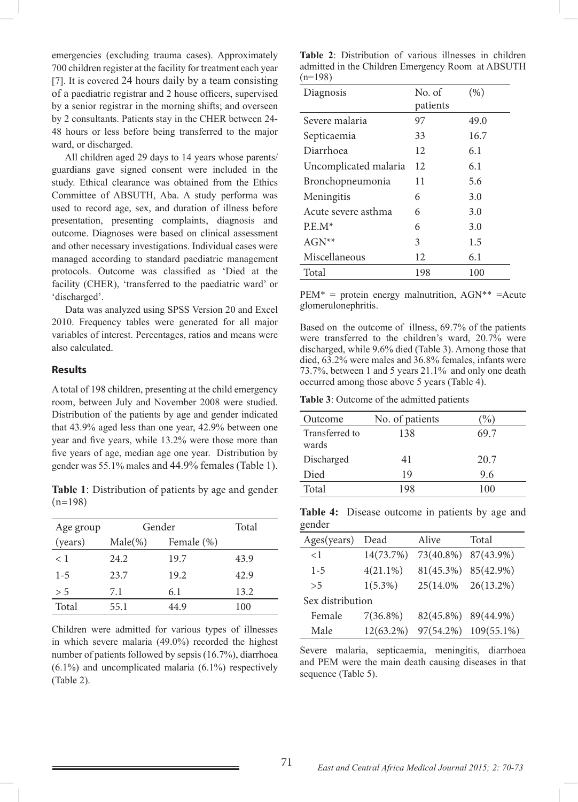emergencies (excluding trauma cases). Approximately 700 children register at the facility for treatment each year [7]. It is covered 24 hours daily by a team consisting of a paediatric registrar and 2 house officers, supervised by a senior registrar in the morning shifts; and overseen by 2 consultants. Patients stay in the CHER between 24- 48 hours or less before being transferred to the major ward, or discharged.

 All children aged 29 days to 14 years whose parents/ guardians gave signed consent were included in the study. Ethical clearance was obtained from the Ethics Committee of ABSUTH, Aba. A study performa was used to record age, sex, and duration of illness before presentation, presenting complaints, diagnosis and outcome. Diagnoses were based on clinical assessment and other necessary investigations. Individual cases were managed according to standard paediatric management protocols. Outcome was classified as 'Died at the facility (CHER), 'transferred to the paediatric ward' or 'discharged'.

 Data was analyzed using SPSS Version 20 and Excel 2010. Frequency tables were generated for all major variables of interest. Percentages, ratios and means were also calculated.

### **Results**

A total of 198 children, presenting at the child emergency room, between July and November 2008 were studied. Distribution of the patients by age and gender indicated that 43.9% aged less than one year, 42.9% between one year and five years, while 13.2% were those more than five years of age, median age one year. Distribution by gender was 55.1% males and 44.9% females (Table 1).

**Table 1**: Distribution of patients by age and gender  $(n=198)$ 

| Age group | Gender     |            | Total |
|-----------|------------|------------|-------|
| (years)   | $Male(\%)$ | Female (%) |       |
| $<$ 1     | 24.2       | 19.7       | 43.9  |
| $1 - 5$   | 23.7       | 19.2       | 42.9  |
| > 5       | 7.1        | 6.1        | 13.2  |
| Total     | 55.1       | 44.9       | 100   |

Children were admitted for various types of illnesses in which severe malaria (49.0%) recorded the highest number of patients followed by sepsis (16.7%), diarrhoea  $(6.1\%)$  and uncomplicated malaria  $(6.1\%)$  respectively (Table 2).

|           | Table 2: Distribution of various illnesses in children |  |  |
|-----------|--------------------------------------------------------|--|--|
|           | admitted in the Children Emergency Room at ABSUTH      |  |  |
| $(n=198)$ |                                                        |  |  |

| Diagnosis             | No. of   | (% ) |
|-----------------------|----------|------|
|                       | patients |      |
| Severe malaria        | 97       | 49.0 |
| Septicaemia           | 33       | 16.7 |
| Diarrhoea             | 12       | 6.1  |
| Uncomplicated malaria | 12       | 6.1  |
| Bronchopneumonia      | 11       | 5.6  |
| Meningitis            | 6        | 3.0  |
| Acute severe asthma   | 6        | 3.0  |
| $P.E.M*$              | 6        | 3.0  |
| $AGN^{**}$            | 3        | 1.5  |
| Miscellaneous         | 12       | 6.1  |
| Total                 | 198      | 100  |

 $PEM^*$  = protein energy malnutrition,  $AGN^{**}$  = Acute glomerulonephritis.

Based on the outcome of illness, 69.7% of the patients were transferred to the children's ward, 20.7% were discharged, while 9.6% died (Table 3). Among those that died, 63.2% were males and 36.8% females, infants were 73.7%, between 1 and 5 years 21.1% and only one death occurred among those above 5 years (Table 4).

**Table 3**: Outcome of the admitted patients

| Outcome                 | No. of patients | $\%$ |
|-------------------------|-----------------|------|
| Transferred to<br>wards | 138             | 69 7 |
| Discharged              | 41              | 20.7 |
| Died                    | 19              | 9.6  |
| Total                   | 198             | 100  |

**Table 4:** Disease outcome in patients by age and gender

| Ages(years)      | Dead         | Alive               | Total         |  |
|------------------|--------------|---------------------|---------------|--|
| $\leq$ 1         | 14(73.7%)    | 73(40.8%)           | 87(43.9%)     |  |
| $1 - 5$          | $4(21.1\%)$  | 81(45.3%)           | 85(42.9%)     |  |
| > 5              | $1(5.3\%)$   | 25(14.0%)           | 26(13.2%)     |  |
| Sex distribution |              |                     |               |  |
| Female           | $7(36.8\%)$  | 82(45.8%) 89(44.9%) |               |  |
| Male             | $12(63.2\%)$ | 97(54.2%)           | $109(55.1\%)$ |  |

Severe malaria, septicaemia, meningitis, diarrhoea and PEM were the main death causing diseases in that sequence (Table 5).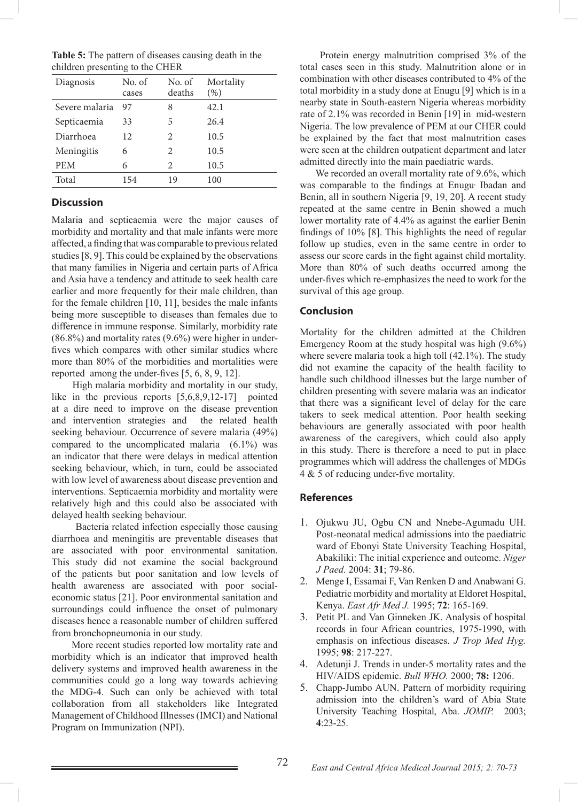| <b>Table 5:</b> The pattern of diseases causing death in the |  |
|--------------------------------------------------------------|--|
| children presenting to the CHER                              |  |

| Diagnosis      | No. of<br>cases | No. of<br>deaths | Mortality<br>(% ) |
|----------------|-----------------|------------------|-------------------|
| Severe malaria | 97              | 8                | 42.1              |
| Septicaemia    | 33              | 5                | 26.4              |
| Diarrhoea      | 12              | 2                | 10.5              |
| Meningitis     | 6               | 2                | 10.5              |
| <b>PEM</b>     | 6               | 2                | 10.5              |
| Total          | 154             | 19               | 100               |

# **Discussion**

Malaria and septicaemia were the major causes of morbidity and mortality and that male infants were more affected, a finding that was comparable to previous related studies [8, 9]. This could be explained by the observations that many families in Nigeria and certain parts of Africa and Asia have a tendency and attitude to seek health care earlier and more frequently for their male children, than for the female children [10, 11], besides the male infants being more susceptible to diseases than females due to difference in immune response. Similarly, morbidity rate (86.8%) and mortality rates (9.6%) were higher in underfives which compares with other similar studies where more than 80% of the morbidities and mortalities were reported among the under-fives [5, 6, 8, 9, 12].

 High malaria morbidity and mortality in our study, like in the previous reports [5,6,8,9,12-17] pointed at a dire need to improve on the disease prevention and intervention strategies and the related health seeking behaviour. Occurrence of severe malaria (49%) compared to the uncomplicated malaria (6.1%) was an indicator that there were delays in medical attention seeking behaviour, which, in turn, could be associated with low level of awareness about disease prevention and interventions. Septicaemia morbidity and mortality were relatively high and this could also be associated with delayed health seeking behaviour.

 Bacteria related infection especially those causing diarrhoea and meningitis are preventable diseases that are associated with poor environmental sanitation. This study did not examine the social background of the patients but poor sanitation and low levels of health awareness are associated with poor socialeconomic status [21]. Poor environmental sanitation and surroundings could influence the onset of pulmonary diseases hence a reasonable number of children suffered from bronchopneumonia in our study.

 More recent studies reported low mortality rate and morbidity which is an indicator that improved health delivery systems and improved health awareness in the communities could go a long way towards achieving the MDG-4. Such can only be achieved with total collaboration from all stakeholders like Integrated Management of Childhood Illnesses (IMCI) and National Program on Immunization (NPI).

 Protein energy malnutrition comprised 3% of the total cases seen in this study. Malnutrition alone or in combination with other diseases contributed to 4% of the total morbidity in a study done at Enugu [9] which is in a nearby state in South-eastern Nigeria whereas morbidity rate of 2.1% was recorded in Benin [19] in mid-western Nigeria. The low prevalence of PEM at our CHER could be explained by the fact that most malnutrition cases were seen at the children outpatient department and later admitted directly into the main paediatric wards.

We recorded an overall mortality rate of 9.6%, which was comparable to the findings at Enugu, Ibadan and Benin, all in southern Nigeria [9, 19, 20]. A recent study repeated at the same centre in Benin showed a much lower mortality rate of 4.4% as against the earlier Benin findings of 10% [8]. This highlights the need of regular follow up studies, even in the same centre in order to assess our score cards in the fight against child mortality. More than 80% of such deaths occurred among the under-fives which re-emphasizes the need to work for the survival of this age group.

# **Conclusion**

Mortality for the children admitted at the Children Emergency Room at the study hospital was high (9.6%) where severe malaria took a high toll (42.1%). The study did not examine the capacity of the health facility to handle such childhood illnesses but the large number of children presenting with severe malaria was an indicator that there was a significant level of delay for the care takers to seek medical attention. Poor health seeking behaviours are generally associated with poor health awareness of the caregivers, which could also apply in this study. There is therefore a need to put in place programmes which will address the challenges of MDGs 4 & 5 of reducing under-five mortality.

## **References**

- 1. Ojukwu JU, Ogbu CN and Nnebe-Agumadu UH. Post-neonatal medical admissions into the paediatric ward of Ebonyi State University Teaching Hospital, Abakiliki: The initial experience and outcome. *Niger J Paed.* 2004: **31**; 79-86.
- 2. Menge I, Essamai F, Van Renken D and Anabwani G. Pediatric morbidity and mortality at Eldoret Hospital, Kenya. *East Afr Med J.* 1995; **72**: 165-169.
- 3. Petit PL and Van Ginneken JK. Analysis of hospital records in four African countries, 1975-1990, with emphasis on infectious diseases. *J Trop Med Hyg.* 1995; **98**: 217-227.
- 4. Adetunji J. Trends in under-5 mortality rates and the HIV/AIDS epidemic. *Bull WHO.* 2000; **78:** 1206.
- 5. Chapp-Jumbo AUN. Pattern of morbidity requiring admission into the children's ward of Abia State University Teaching Hospital, Aba. *JOMIP.* 2003; **4**:23-25.